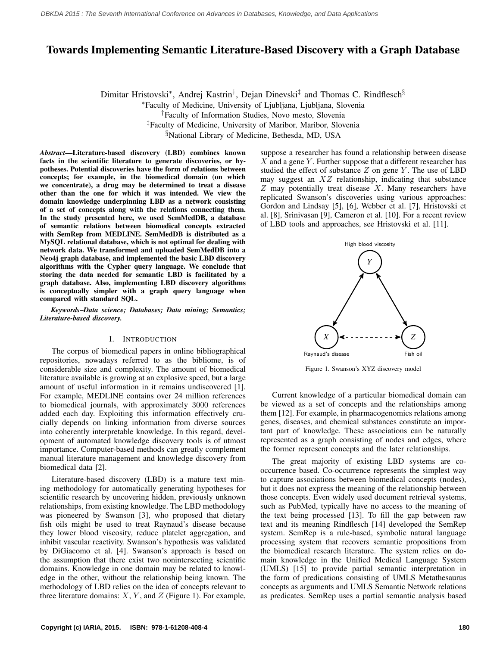# Towards Implementing Semantic Literature-Based Discovery with a Graph Database

Dimitar Hristovski<sup>\*</sup>, Andrej Kastrin<sup>†</sup>, Dejan Dinevski<sup>‡</sup> and Thomas C. Rindflesch<sup>§</sup>

<sup>∗</sup>Faculty of Medicine, University of Ljubljana, Ljubljana, Slovenia

†Faculty of Information Studies, Novo mesto, Slovenia

‡Faculty of Medicine, University of Maribor, Maribor, Slovenia

§National Library of Medicine, Bethesda, MD, USA

*Abstract*—Literature-based discovery (LBD) combines known facts in the scientific literature to generate discoveries, or hypotheses. Potential discoveries have the form of relations between concepts; for example, in the biomedical domain (on which we concentrate), a drug may be determined to treat a disease other than the one for which it was intended. We view the domain knowledge underpinning LBD as a network consisting of a set of concepts along with the relations connecting them. In the study presented here, we used SemMedDB, a database of semantic relations between biomedical concepts extracted with SemRep from MEDLINE. SemMedDB is distributed as a MySQL relational database, which is not optimal for dealing with network data. We transformed and uploaded SemMedDB into a Neo4j graph database, and implemented the basic LBD discovery algorithms with the Cypher query language. We conclude that storing the data needed for semantic LBD is facilitated by a graph database. Also, implementing LBD discovery algorithms is conceptually simpler with a graph query language when compared with standard SQL.

*Keywords*–*Data science; Databases; Data mining; Semantics; Literature-based discovery.*

#### I. INTRODUCTION

The corpus of biomedical papers in online bibliographical repositories, nowadays referred to as the bibliome, is of considerable size and complexity. The amount of biomedical literature available is growing at an explosive speed, but a large amount of useful information in it remains undiscovered [\[1\]](#page-3-0). For example, MEDLINE contains over 24 million references to biomedical journals, with approximately 3000 references added each day. Exploiting this information effectively crucially depends on linking information from diverse sources into coherently interpretable knowledge. In this regard, development of automated knowledge discovery tools is of utmost importance. Computer-based methods can greatly complement manual literature management and knowledge discovery from biomedical data [\[2\]](#page-3-1).

Literature-based discovery (LBD) is a mature text mining methodology for automatically generating hypotheses for scientific research by uncovering hidden, previously unknown relationships, from existing knowledge. The LBD methodology was pioneered by Swanson [\[3\]](#page-3-2), who proposed that dietary fish oils might be used to treat Raynaud's disease because they lower blood viscosity, reduce platelet aggregation, and inhibit vascular reactivity. Swanson's hypothesis was validated by DiGiacomo et al. [\[4\]](#page-3-3). Swanson's approach is based on the assumption that there exist two nonintersecting scientific domains. Knowledge in one domain may be related to knowledge in the other, without the relationship being known. The methodology of LBD relies on the idea of concepts relevant to three literature domains:  $X, Y$ , and  $Z$  (Figure [1\)](#page-0-0). For example, suppose a researcher has found a relationship between disease  $X$  and a gene  $Y$ . Further suppose that a different researcher has studied the effect of substance  $Z$  on gene  $Y$ . The use of LBD may suggest an  $XZ$  relationship, indicating that substance  $Z$  may potentially treat disease  $X$ . Many researchers have replicated Swanson's discoveries using various approaches: Gordon and Lindsay [\[5\]](#page-3-4), [\[6\]](#page-3-5), Webber et al. [\[7\]](#page-3-6), Hristovski et al. [\[8\]](#page-3-7), Srinivasan [\[9\]](#page-3-8), Cameron et al. [\[10\]](#page-3-9). For a recent review of LBD tools and approaches, see Hristovski et al. [\[11\]](#page-3-10).

<span id="page-0-0"></span>

Figure 1. Swanson's XYZ discovery model

Current knowledge of a particular biomedical domain can be viewed as a set of concepts and the relationships among them [\[12\]](#page-3-11). For example, in pharmacogenomics relations among genes, diseases, and chemical substances constitute an important part of knowledge. These associations can be naturally represented as a graph consisting of nodes and edges, where the former represent concepts and the later relationships.

The great majority of existing LBD systems are cooccurrence based. Co-occurrence represents the simplest way to capture associations between biomedical concepts (nodes), but it does not express the meaning of the relationship between those concepts. Even widely used document retrieval systems, such as PubMed, typically have no access to the meaning of the text being processed [\[13\]](#page-3-12). To fill the gap between raw text and its meaning Rindflesch [\[14\]](#page-3-13) developed the SemRep system. SemRep is a rule-based, symbolic natural language processing system that recovers semantic propositions from the biomedical research literature. The system relies on domain knowledge in the Unified Medical Language System (UMLS) [\[15\]](#page-3-14) to provide partial semantic interpretation in the form of predications consisting of UMLS Metathesaurus concepts as arguments and UMLS Semantic Network relations as predicates. SemRep uses a partial semantic analysis based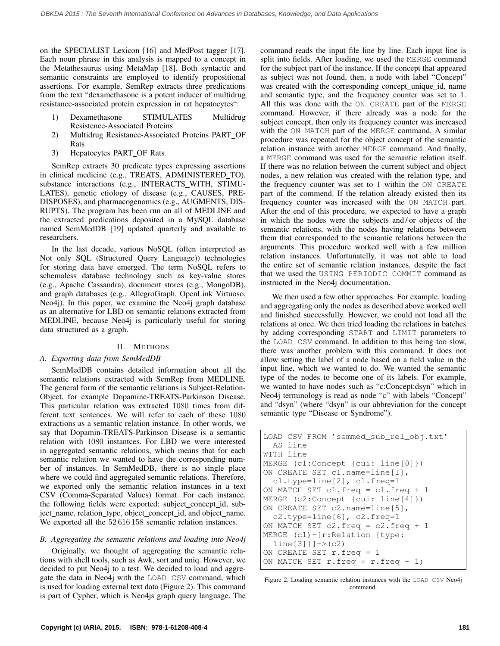on the SPECIALIST Lexicon [\[16\]](#page-3-15) and MedPost tagger [\[17\]](#page-3-16). Each noun phrase in this analysis is mapped to a concept in the Metathesaurus using MetaMap [\[18\]](#page-3-17). Both syntactic and semantic constraints are employed to identify propositional assertions. For example, SemRep extracts three predications from the text "dexamethasone is a potent inducer of multidrug resistance-associated protein expression in rat hepatocytes":

- 1) Dexamethasone STIMULATES Multidrug Resistence-Associated Proteins
- 2) Multidrug Resistance-Associated Proteins PART OF Rats
- 3) Hepatocytes PART OF Rats

SemRep extracts 30 predicate types expressing assertions in clinical medicine (e.g., TREATS, ADMINISTERED\_TO), substance interactions (e.g., INTERACTS\_WITH, STIMU-LATES), genetic etiology of disease (e.g., CAUSES, PRE-DISPOSES), and pharmacogenomics (e.g., AUGMENTS, DIS-RUPTS). The program has been run on all of MEDLINE and the extracted predications deposited in a MySQL database named SemMedDB [\[19\]](#page-3-18) updated quarterly and available to researchers.

In the last decade, various NoSQL (often interpreted as Not only SQL (Structured Query Language)) technologies for storing data have emerged. The term NoSQL refers to schemaless database technology such as key-value stores (e.g., Apache Cassandra), document stores (e.g., MongoDB), and graph databases (e.g., AllegroGraph, OpenLink Virtuoso, Neo4j). In this paper, we examine the Neo4j graph database as an alternative for LBD on semantic relations extracted from MEDLINE, because Neo4j is particularly useful for storing data structured as a graph.

## II. METHODS

## *A. Exporting data from SemMedDB*

SemMedDB contains detailed information about all the semantic relations extracted with SemRep from MEDLINE. The general form of the semantic relations is Subject-Relation-Object, for example Dopamine-TREATS-Parkinson Disease. This particular relation was extracted 1080 times from different text sentences. We will refer to each of these 1080 extractions as a semantic relation instance. In other words, we say that Dopamin-TREATS-Parkinson Disease is a semantic relation with 1080 instantces. For LBD we were interested in aggregated semantic relations, which means that for each semantic relation we wanted to have the corresponding number of instances. In SemMedDB, there is no single place where we could find aggregated semantic relations. Therefore, we exported only the semantic relation instances in a text CSV (Comma-Separated Values) format. For each instance, the following fields were exported: subject concept id, subject\_name, relation\_type, object\_concept\_id, and object\_name. We exported all the  $52616158$  semantic relation instances.

## *B. Aggregating the semantic relations and loading into Neo4j*

Originally, we thought of aggregating the semantic relations with shell tools, such as Awk, sort and uniq. However, we decided to put Neo4j to a test. We decided to load and aggregate the data in Neo4j with the LOAD CSV command, which is used for loading external text data (Figure [2\)](#page-1-0). This command is part of Cypher, which is Neo4js graph query language. The command reads the input file line by line. Each input line is split into fields. After loading, we used the MERGE command for the subject part of the instance. If the concept that appeared as subject was not found, then, a node with label "Concept" was created with the corresponding concept\_unique\_id, name and semantic type, and the frequency counter was set to 1. All this was done with the ON CREATE part of the MERGE command. However, if there already was a node for the subject concept, then only its frequency counter was increased with the ON MATCH part of the MERGE command. A similar procedure was repeated for the object concept of the semantic relation instance with another MERGE command. And finally, a MERGE command was used for the semantic relation itself. If there was no relation between the current subject and object nodes, a new relation was created with the relation type, and the frequency counter was set to 1 within the ON CREATE part of the commend. If the relation already existed then its frequency counter was increased with the ON MATCH part. After the end of this procedure, we expected to have a graph in which the nodes were the subjects and / or objects of the semantic relations, with the nodes having relations between them that corresponded to the semantic relations between the arguments. This procedure worked well with a few million relation instances. Unfortunatelly, it was not able to load the entire set of semantic relation instances, despite the fact that we used the USING PERIODIC COMMIT command as instructed in the Neo4j documentation.

We then used a few other approaches. For example, loading and aggregating only the nodes as described above worked well and finished successfully. However, we could not load all the relations at once. We then tried loading the relations in batches by adding corresponding START and LIMIT parameters to the LOAD CSV command. In addition to this being too slow, there was another problem with this command. It does not allow setting the label of a node based on a field value in the input line, which we wanted to do. We wanted the semantic type of the nodes to become one of its labels. For example, we wanted to have nodes such as "c:Concept:dsyn" which in Neo4j terminology is read as node "c" with labels "Concept" and "dsyn" (where "dsyn" is our abbreviation for the concept semantic type "Disease or Syndrome").

```
LOAD CSV FROM 'semmed_sub_rel_obj.txt'
  AS line
WITH line
MERGE (c1:Concept {cui: line[0]})
ON CREATE SET c1.name=line[1],
  c1.type=line[2], c1.freq=1
ON MATCH SET c1.freq = c1.freq + 1
MERGE (c2:Concept {cui: line[4]})
ON CREATE SET c2.name=line[5],
  c2.type=line[6], c2.freq=1
ON MATCH SET c2.freq = c2.freq + 1
MERGE (c1)-[r:Relation {type:
  line[3]}]->(c2)
ON CREATE SET r.freq = 1
ON MATCH SET r.freq = r.freq + 1;
```
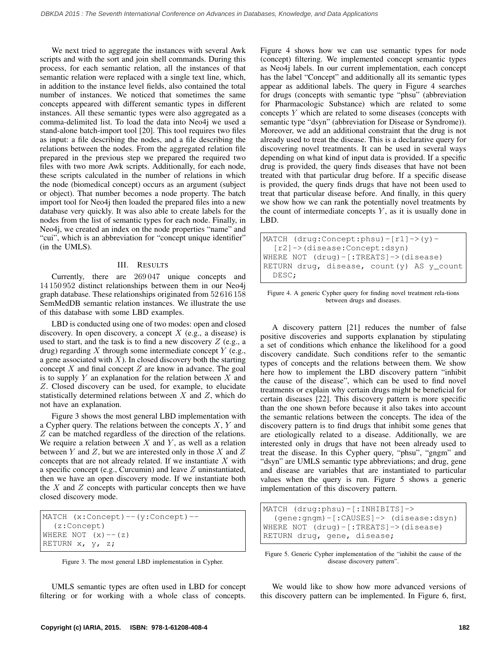We next tried to aggregate the instances with several Awk scripts and with the sort and join shell commands. During this process, for each semantic relation, all the instances of that semantic relation were replaced with a single text line, which, in addition to the instance level fields, also contained the total number of instances. We noticed that sometimes the same concepts appeared with different semantic types in different instances. All these semantic types were also aggregated as a comma-delimited list. To load the data into Neo4j we used a stand-alone batch-import tool [\[20\]](#page-4-0). This tool requires two files as input: a file describing the nodes, and a file describing the relations between the nodes. From the aggregated relation file prepared in the previous step we prepared the required two files with two more Awk scripts. Additionally, for each node, these scripts calculated in the number of relations in which the node (biomedical concept) occurs as an argument (subject or object). That number becomes a node property. The batch import tool for Neo4j then loaded the prepared files into a new database very quickly. It was also able to create labels for the nodes from the list of semantic types for each node. Finally, in Neo4j, we created an index on the node properties "name" and "cui", which is an abbreviation for "concept unique identifier" (in the UMLS).

## III. RESULTS

Currently, there are 269 047 unique concepts and 14 150 952 distinct relationships between them in our Neo4j graph database. These relationships originated from 52 616 158 SemMedDB semantic relation instances. We illustrate the use of this database with some LBD examples.

LBD is conducted using one of two modes: open and closed discovery. In open discovery, a concept  $X$  (e.g., a disease) is used to start, and the task is to find a new discovery  $Z$  (e.g., a drug) regarding  $X$  through some intermediate concept  $Y$  (e.g., a gene associated with  $X$ ). In closed discovery both the starting concept  $X$  and final concept  $Z$  are know in advance. The goal is to supply  $Y$  an explanation for the relation between  $X$  and Z. Closed discovery can be used, for example, to elucidate statistically determined relations between  $X$  and  $Z$ , which do not have an explanation.

Figure [3](#page-2-0) shows the most general LBD implementation with a Cypher query. The relations between the concepts  $X, Y$  and Z can be matched regardless of the direction of the relations. We require a relation between  $X$  and  $Y$ , as well as a relation between  $Y$  and  $Z$ , but we are interested only in those  $X$  and  $Z$ concepts that are not already related. If we instantiate  $X$  with a specific concept (e.g., Curcumin) and leave Z uninstantiated, then we have an open discovery mode. If we instantiate both the  $X$  and  $Z$  concepts with particular concepts then we have closed discovery mode.

```
MATCH (x:Concept)--(y:Concept)--
  (z:Concept)
WHERE NOT (x) -- (z)RETURN x, y, z;
```
Figure 3. The most general LBD implementation in Cypher.

UMLS semantic types are often used in LBD for concept filtering or for working with a whole class of concepts. Figure [4](#page-2-1) shows how we can use semantic types for node (concept) filtering. We implemented concept semantic types as Neo4j labels. In our current implementation, each concept has the label "Concept" and additionally all its semantic types appear as additional labels. The query in Figure [4](#page-2-1) searches for drugs (concepts with semantic type "phsu" (abbreviation for Pharmacologic Substance) which are related to some concepts Y which are related to some diseases (concepts with semantic type "dsyn" (abbreviation for Disease or Syndrome)). Moreover, we add an additional constraint that the drug is not already used to treat the disease. This is a declarative query for discovering novel treatments. It can be used in several ways depending on what kind of input data is provided. If a specific drug is provided, the query finds diseases that have not been treated with that particular drug before. If a specific disease is provided, the query finds drugs that have not been used to treat that particular disease before. And finally, in this query we show how we can rank the potentially novel treatments by the count of intermediate concepts  $Y$ , as it is usually done in LBD.

```
MATCH (drug:Concept:phsu)-[r1]->(y)-
  [r2]->(disease:Concept:dsyn)
WHERE NOT (drug)-[:TREATS]->(disease)
RETURN drug, disease, count(y) AS y_count
  DESC;
```

```
Figure 4. A generic Cypher query for finding novel treatment rela-tions
                     between drugs and diseases.
```
A discovery pattern [\[21\]](#page-4-1) reduces the number of false positive discoveries and supports explanation by stipulating a set of conditions which enhance the likelihood for a good discovery candidate. Such conditions refer to the semantic types of concepts and the relations between them. We show here how to implement the LBD discovery pattern "inhibit the cause of the disease", which can be used to find novel treatments or explain why certain drugs might be beneficial for certain diseases [\[22\]](#page-4-2). This discovery pattern is more specific than the one shown before because it also takes into account the semantic relations between the concepts. The idea of the discovery pattern is to find drugs that inhibit some genes that are etiologically related to a disease. Additionally, we are interested only in drugs that have not been already used to treat the disease. In this Cypher query, "phsu", "gngm" and "dsyn" are UMLS semantic type abbreviations; and drug, gene and disease are variables that are instantiated to particular values when the query is run. Figure [5](#page-2-2) shows a generic implementation of this discovery pattern.

```
MATCH (drug:phsu)-[:INHIBITS]->
  (gene:gngm)-[:CAUSES]-> (disease:dsyn)
WHERE NOT (drug)-[:TREATS]->(disease)
RETURN drug, gene, disease;
```
Figure 5. Generic Cypher implementation of the "inhibit the cause of the disease discovery pattern".

We would like to show how more advanced versions of this discovery pattern can be implemented. In Figure [6,](#page-3-19) first,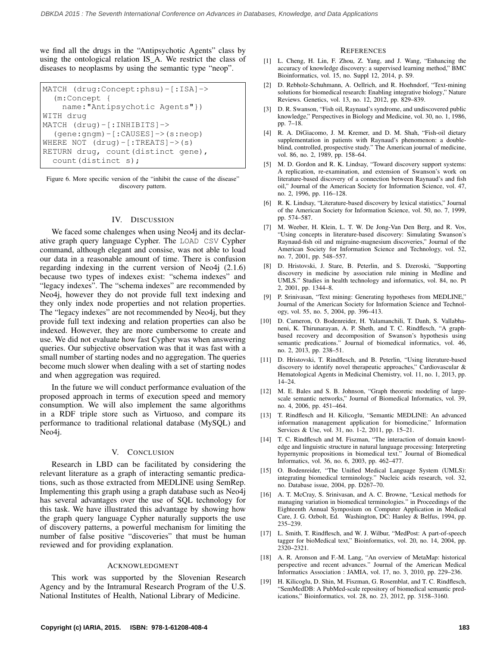we find all the drugs in the "Antipsychotic Agents" class by using the ontological relation IS A. We restrict the class of diseases to neoplasms by using the semantic type "neop".

```
MATCH (drug:Concept:phsu)-[:ISA]->
  (m:Concept {
    name:"Antipsychotic Agents"})
WITH drug
MATCH (drug)-[:INHIBITS]->
  (gene:gngm)-[:CAUSES]->(s:neop)
WHERE NOT (drug)-[:TREATS]->(s)
RETURN drug, count(distinct gene),
  count(distinct s);
```
Figure 6. More specific version of the "inhibit the cause of the disease" discovery pattern.

## IV. DISCUSSION

We faced some chalenges when using Neo4j and its declarative graph query language Cypher. The LOAD CSV Cypher command, although elegant and consise, was not able to load our data in a reasonable amount of time. There is confusion regarding indexing in the current version of Neo4j (2.1.6) because two types of indexes exist: "schema indexes" and "legacy indexes". The "schema indexes" are recommended by Neo4j, however they do not provide full text indexing and they only index node properties and not relation properties. The "legacy indexes" are not recommended by Neo4j, but they provide full text indexing and relation properties can also be indexed. However, they are more cumbersome to create and use. We did not evaluate how fast Cypher was when answering queries. Our subjective observation was that it was fast with a small number of starting nodes and no aggregation. The queries become much slower when dealing with a set of starting nodes and when aggregation was required.

In the future we will conduct performance evaluation of the proposed approach in terms of execution speed and memory consumption. We will also implement the same algorithms in a RDF triple store such as Virtuoso, and compare its performance to traditional relational database (MySQL) and Neo4j.

#### V. CONCLUSION

Research in LBD can be facilitated by considering the relevant literature as a graph of interacting semantic predications, such as those extracted from MEDLINE using SemRep. Implementing this graph using a graph database such as Neo4j has several advantages over the use of SQL technology for this task. We have illustrated this advantage by showing how the graph query language Cypher naturally supports the use of discovery patterns, a powerful mechanism for limiting the number of false positive "discoveries" that must be human reviewed and for providing explanation.

#### ACKNOWLEDGMENT

This work was supported by the Slovenian Research Agency and by the Intramural Research Program of the U.S. National Institutes of Health, National Library of Medicine.

#### **REFERENCES**

- <span id="page-3-0"></span>[1] L. Cheng, H. Lin, F. Zhou, Z. Yang, and J. Wang, "Enhancing the accuracy of knowledge discovery: a supervised learning method," BMC Bioinformatics, vol. 15, no. Suppl 12, 2014, p. S9.
- <span id="page-3-1"></span>[2] D. Rebholz-Schuhmann, A. Oellrich, and R. Hoehndorf, "Text-mining solutions for biomedical research: Enabling integrative biology," Nature Reviews. Genetics, vol. 13, no. 12, 2012, pp. 829–839.
- <span id="page-3-2"></span>D. R. Swanson, "Fish oil, Raynaud's syndrome, and undiscovered public knowledge," Perspectives in Biology and Medicine, vol. 30, no. 1, 1986, pp. 7–18.
- <span id="page-3-3"></span>[4] R. A. DiGiacomo, J. M. Kremer, and D. M. Shah, "Fish-oil dietary supplementation in patients with Raynaud's phenomenon: a doubleblind, controlled, prospective study." The American journal of medicine, vol. 86, no. 2, 1989, pp. 158–64.
- <span id="page-3-4"></span>[5] M. D. Gordon and R. K. Lindsay, "Toward discovery support systems: A replication, re-examination, and extension of Swanson's work on literature-based discovery of a connection between Raynaud's and fish oil," Journal of the American Society for Information Science, vol. 47, no. 2, 1996, pp. 116–128.
- <span id="page-3-5"></span>[6] R. K. Lindsay, "Literature-based discovery by lexical statistics," Journal of the American Society for Information Science, vol. 50, no. 7, 1999, pp. 574–587.
- <span id="page-3-6"></span>[7] M. Weeber, H. Klein, L. T. W. De Jong-Van Den Berg, and R. Vos, "Using concepts in literature-based discovery: Simulating Swanson's Raynaud-fish oil and migraine-magnesium discoveries," Journal of the American Society for Information Science and Technology, vol. 52, no. 7, 2001, pp. 548–557.
- <span id="page-3-7"></span>[8] D. Hristovski, J. Stare, B. Peterlin, and S. Dzeroski, "Supporting discovery in medicine by association rule mining in Medline and UMLS." Studies in health technology and informatics, vol. 84, no. Pt 2, 2001, pp. 1344–8.
- <span id="page-3-8"></span>[9] P. Srinivasan, "Text mining: Generating hypotheses from MEDLINE," Journal of the American Society for Information Science and Technology, vol. 55, no. 5, 2004, pp. 396–413.
- <span id="page-3-9"></span>[10] D. Cameron, O. Bodenreider, H. Yalamanchili, T. Danh, S. Vallabhaneni, K. Thirunarayan, A. P. Sheth, and T. C. Rindflesch, "A graphbased recovery and decomposition of Swanson's hypothesis using semantic predications." Journal of biomedical informatics, vol. 46, no. 2, 2013, pp. 238–51.
- <span id="page-3-10"></span>[11] D. Hristovski, T. Rindflesch, and B. Peterlin, "Using literature-based discovery to identify novel therapeutic approaches," Cardiovascular & Hematological Agents in Medicinal Chemistry, vol. 11, no. 1, 2013, pp. 14–24.
- <span id="page-3-11"></span>[12] M. E. Bales and S. B. Johnson, "Graph theoretic modeling of largescale semantic networks," Journal of Biomedical Informatics, vol. 39, no. 4, 2006, pp. 451–464.
- <span id="page-3-12"></span>[13] T. Rindflesch and H. Kilicoglu, "Semantic MEDLINE: An advanced information management application for biomedicine," Information Services & Use, vol. 31, no. 1-2, 2011, pp. 15–21.
- <span id="page-3-13"></span>[14] T. C. Rindflesch and M. Fiszman, "The interaction of domain knowledge and linguistic structure in natural language processing: Interpreting hypernymic propositions in biomedical text." Journal of Biomedical Informatics, vol. 36, no. 6, 2003, pp. 462–477.
- <span id="page-3-14"></span>[15] O. Bodenreider, "The Unified Medical Language System (UMLS): integrating biomedical terminology." Nucleic acids research, vol. 32, no. Database issue, 2004, pp. D267–70.
- <span id="page-3-15"></span>[16] A. T. McCray, S. Srinivasan, and A. C. Browne, "Lexical methods for managing variation in biomedical terminologies." in Proceedings of the Eighteenth Annual Symposium on Computer Application in Medical Care, J. G. Ozbolt, Ed. Washington, DC: Hanley & Belfus, 1994, pp. 235–239.
- <span id="page-3-16"></span>[17] L. Smith, T. Rindflesch, and W. J. Wilbur, "MedPost: A part-of-speech tagger for bioMedical text," Bioinformatics, vol. 20, no. 14, 2004, pp. 2320–2321.
- <span id="page-3-17"></span>[18] A. R. Aronson and F.-M. Lang, "An overview of MetaMap: historical perspective and recent advances." Journal of the American Medical Informatics Association : JAMIA, vol. 17, no. 3, 2010, pp. 229–236.
- <span id="page-3-18"></span>[19] H. Kilicoglu, D. Shin, M. Fiszman, G. Rosemblat, and T. C. Rindflesch, "SemMedDB: A PubMed-scale repository of biomedical semantic predications," Bioinformatics, vol. 28, no. 23, 2012, pp. 3158–3160.